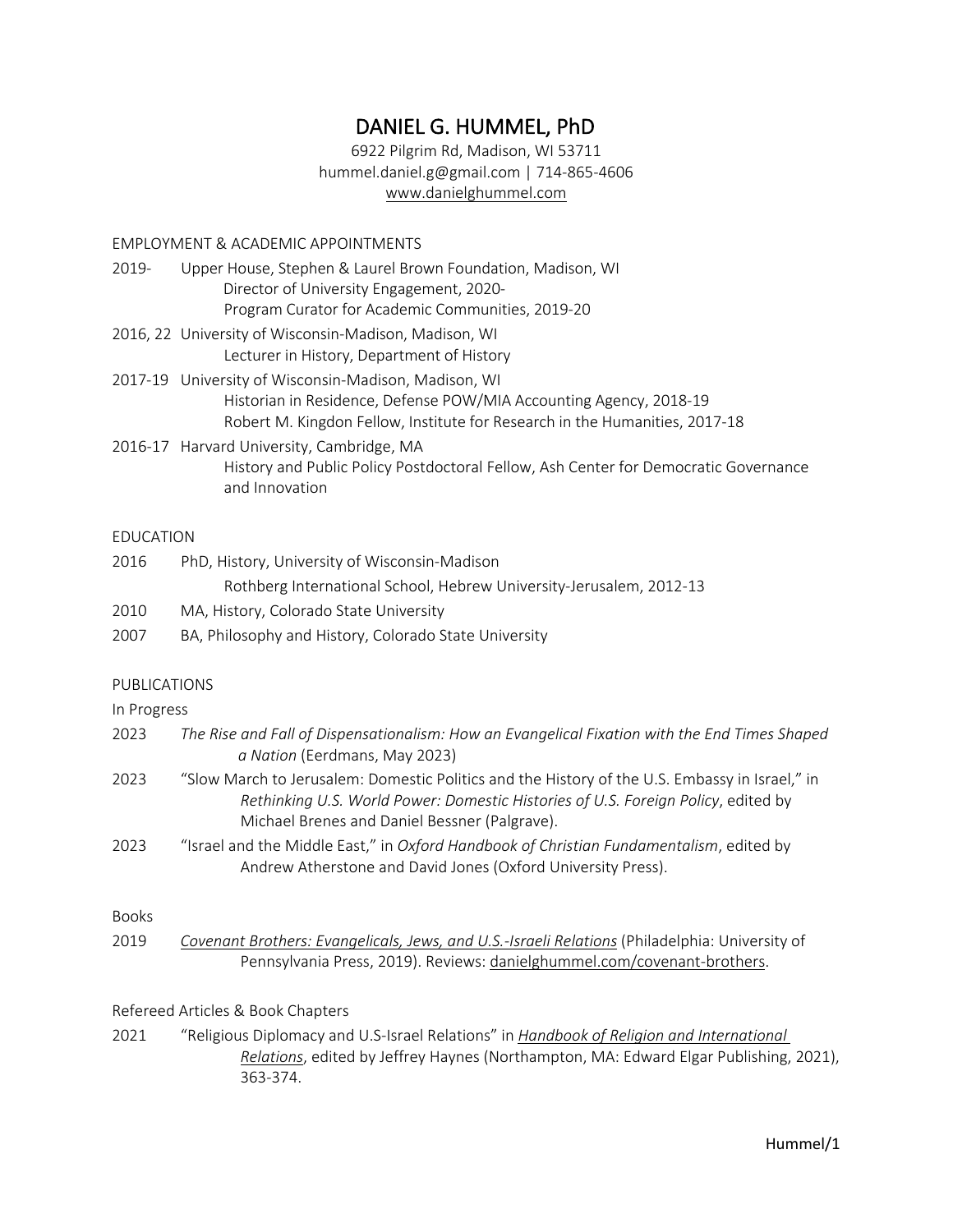# DANIEL G. HUMMEL, PhD

6922 Pilgrim Rd, Madison, WI 53711 hummel.daniel.g@gmail.com | 714-865-4606 www.danielghummel.com

EMPLOYMENT & ACADEMIC APPOINTMENTS

- 2019- Upper House, Stephen & Laurel Brown Foundation, Madison, WI Director of University Engagement, 2020- Program Curator for Academic Communities, 2019-20
- 2016, 22 University of Wisconsin-Madison, Madison, WI Lecturer in History, Department of History
- 2017-19 University of Wisconsin-Madison, Madison, WI Historian in Residence, Defense POW/MIA Accounting Agency, 2018-19 Robert M. Kingdon Fellow, Institute for Research in the Humanities, 2017-18
- 2016-17 Harvard University, Cambridge, MA History and Public Policy Postdoctoral Fellow, Ash Center for Democratic Governance and Innovation

### EDUCATION

- 2016 PhD, History, University of Wisconsin-Madison Rothberg International School, Hebrew University-Jerusalem, 2012-13 2010 MA, History, Colorado State University
- 2007 BA, Philosophy and History, Colorado State University

## PUBLICATIONS

In Progress

- 2023 *The Rise and Fall of Dispensationalism: How an Evangelical Fixation with the End Times Shaped a Nation* (Eerdmans, May 2023)
- 2023 "Slow March to Jerusalem: Domestic Politics and the History of the U.S. Embassy in Israel," in *Rethinking U.S. World Power: Domestic Histories of U.S. Foreign Policy*, edited by Michael Brenes and Daniel Bessner (Palgrave).
- 2023 "Israel and the Middle East," in *Oxford Handbook of Christian Fundamentalism*, edited by Andrew Atherstone and David Jones (Oxford University Press).

## Books

2019 *Covenant Brothers: Evangelicals, Jews, and U.S.-Israeli Relations* (Philadelphia: University of Pennsylvania Press, 2019). Reviews: danielghummel.com/covenant-brothers.

## Refereed Articles & Book Chapters

2021 "Religious Diplomacy and U.S-Israel Relations" in *Handbook of Religion and International Relations*, edited by Jeffrey Haynes (Northampton, MA: Edward Elgar Publishing, 2021), 363-374.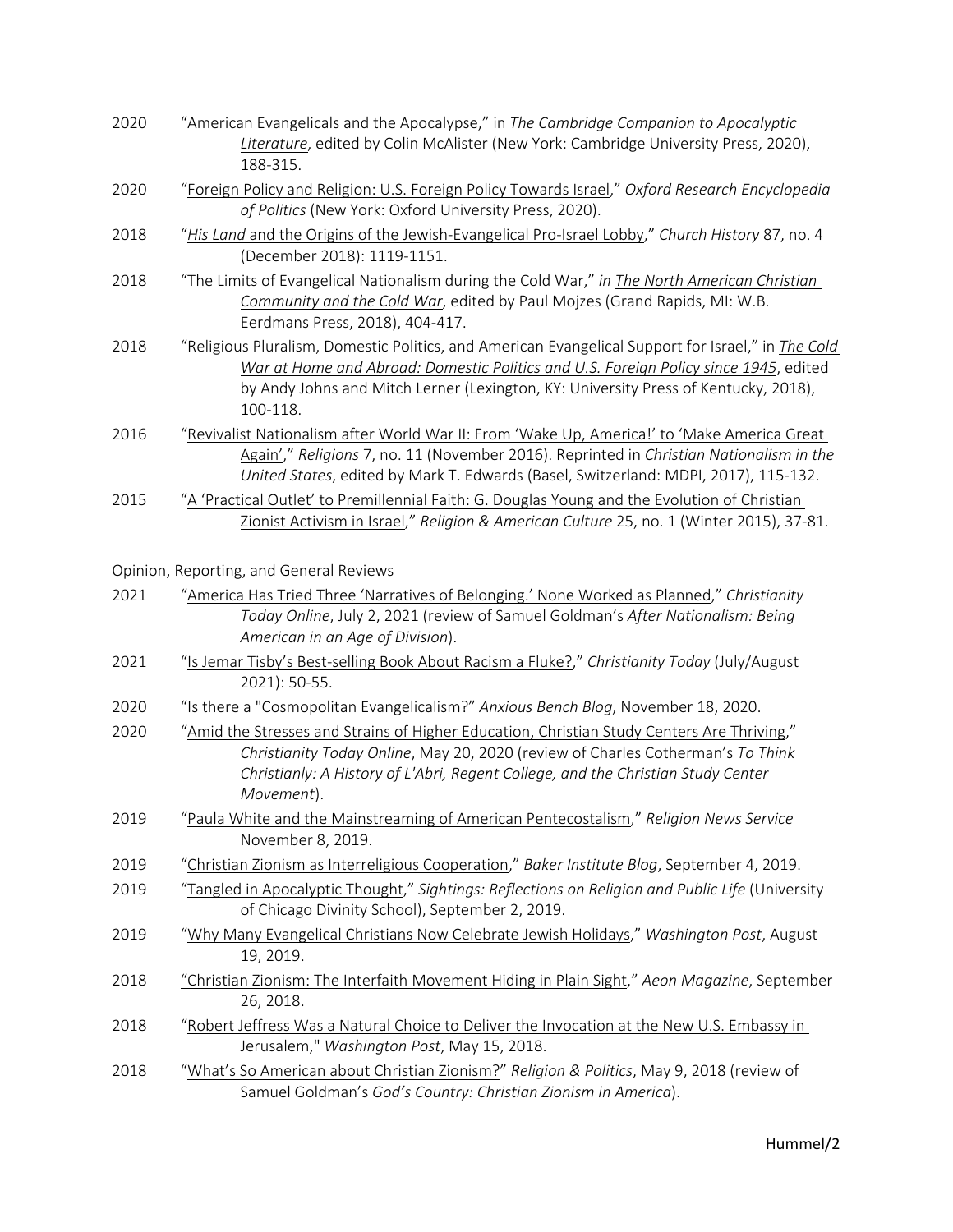| 2020 | "American Evangelicals and the Apocalypse," in The Cambridge Companion to Apocalyptic<br>Literature, edited by Colin McAlister (New York: Cambridge University Press, 2020),<br>188-315.                                                                                                      |
|------|-----------------------------------------------------------------------------------------------------------------------------------------------------------------------------------------------------------------------------------------------------------------------------------------------|
| 2020 | "Foreign Policy and Religion: U.S. Foreign Policy Towards Israel," Oxford Research Encyclopedia<br>of Politics (New York: Oxford University Press, 2020).                                                                                                                                     |
| 2018 | "His Land and the Origins of the Jewish-Evangelical Pro-Israel Lobby," Church History 87, no. 4<br>(December 2018): 1119-1151.                                                                                                                                                                |
| 2018 | "The Limits of Evangelical Nationalism during the Cold War," in The North American Christian<br>Community and the Cold War, edited by Paul Mojzes (Grand Rapids, MI: W.B.<br>Eerdmans Press, 2018), 404-417.                                                                                  |
| 2018 | "Religious Pluralism, Domestic Politics, and American Evangelical Support for Israel," in The Cold<br>War at Home and Abroad: Domestic Politics and U.S. Foreign Policy since 1945, edited<br>by Andy Johns and Mitch Lerner (Lexington, KY: University Press of Kentucky, 2018),<br>100-118. |
| 2016 | "Revivalist Nationalism after World War II: From 'Wake Up, America!' to 'Make America Great                                                                                                                                                                                                   |

Again'," *Religions* 7, no. 11 (November 2016). Reprinted in *Christian Nationalism in the United States*, edited by Mark T. Edwards (Basel, Switzerland: MDPI, 2017), 115-132. 2015 "A 'Practical Outlet' to Premillennial Faith: G. Douglas Young and the Evolution of Christian

Zionist Activism in Israel," *Religion & American Culture* 25, no. 1 (Winter 2015), 37-81.

Opinion, Reporting, and General Reviews

| 2021 | "America Has Tried Three 'Narratives of Belonging.' None Worked as Planned," Christianity |
|------|-------------------------------------------------------------------------------------------|
|      | Today Online, July 2, 2021 (review of Samuel Goldman's After Nationalism: Being           |
|      | American in an Age of Division).                                                          |

- 2021 "Is Jemar Tisby's Best-selling Book About Racism a Fluke?," *Christianity Today* (July/August 2021): 50-55.
- 2020 "Is there a "Cosmopolitan Evangelicalism?" *Anxious Bench Blog*, November 18, 2020.
- 2020 "Amid the Stresses and Strains of Higher Education, Christian Study Centers Are Thriving," *Christianity Today Online*, May 20, 2020 (review of Charles Cotherman's *To Think Christianly: A History of L'Abri, Regent College, and the Christian Study Center Movement*).
- 2019 "Paula White and the Mainstreaming of American Pentecostalism," *Religion News Service* November 8, 2019.
- 2019 "Christian Zionism as Interreligious Cooperation," *Baker Institute Blog*, September 4, 2019.
- 2019 "Tangled in Apocalyptic Thought," *Sightings: Reflections on Religion and Public Life* (University of Chicago Divinity School), September 2, 2019.
- 2019 "Why Many Evangelical Christians Now Celebrate Jewish Holidays," *Washington Post*, August 19, 2019.
- 2018 "Christian Zionism: The Interfaith Movement Hiding in Plain Sight," *Aeon Magazine*, September 26, 2018.
- 2018 "Robert Jeffress Was a Natural Choice to Deliver the Invocation at the New U.S. Embassy in Jerusalem," *Washington Post*, May 15, 2018.
- 2018 "What's So American about Christian Zionism?" *Religion & Politics*, May 9, 2018 (review of Samuel Goldman's *God's Country: Christian Zionism in America*).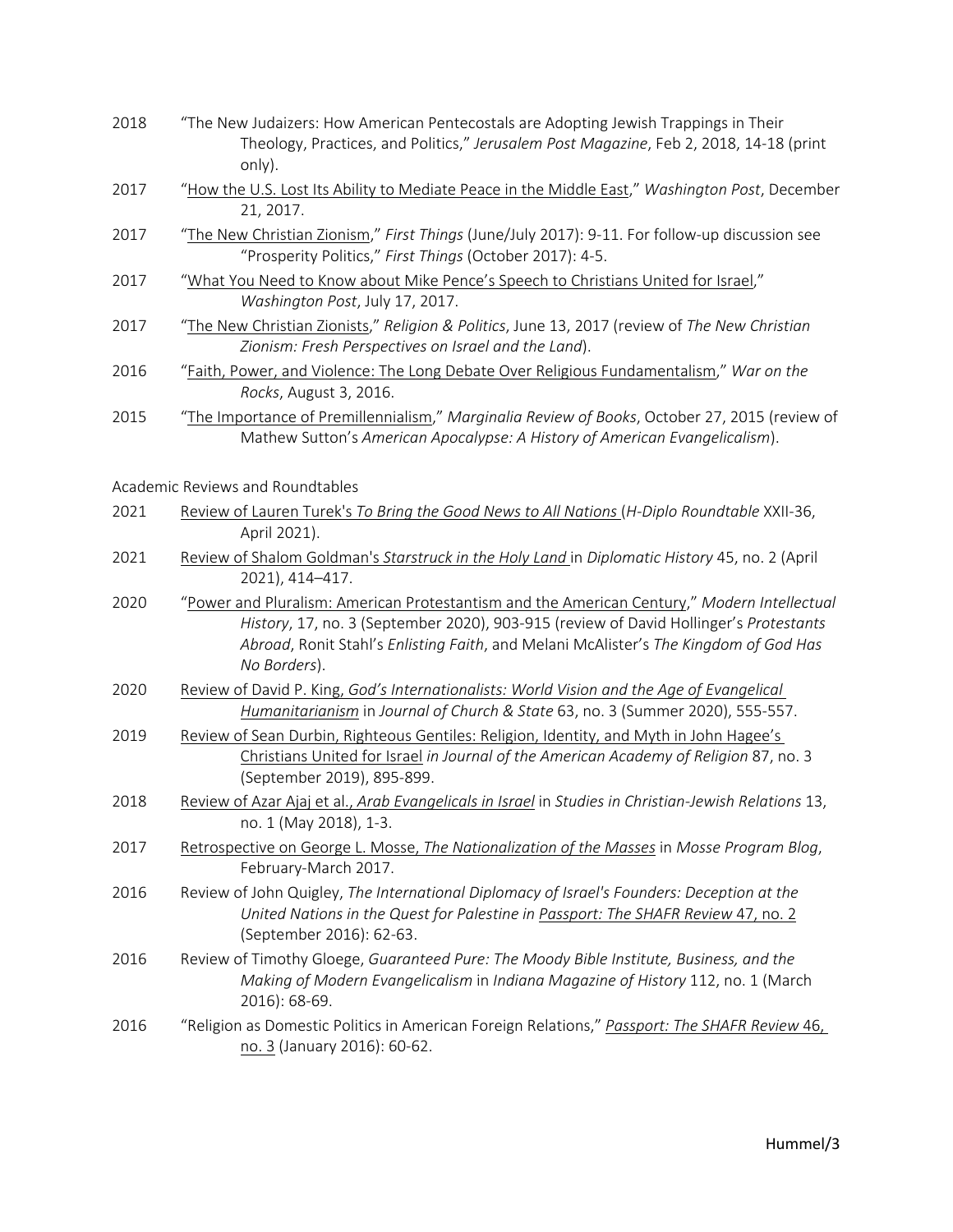| 2018 | "The New Judaizers: How American Pentecostals are Adopting Jewish Trappings in Their<br>Theology, Practices, and Politics," Jerusalem Post Magazine, Feb 2, 2018, 14-18 (print<br>only).                                                                                                     |
|------|----------------------------------------------------------------------------------------------------------------------------------------------------------------------------------------------------------------------------------------------------------------------------------------------|
| 2017 | "How the U.S. Lost Its Ability to Mediate Peace in the Middle East," Washington Post, December<br>21, 2017.                                                                                                                                                                                  |
| 2017 | "The New Christian Zionism," First Things (June/July 2017): 9-11. For follow-up discussion see<br>"Prosperity Politics," First Things (October 2017): 4-5.                                                                                                                                   |
| 2017 | "What You Need to Know about Mike Pence's Speech to Christians United for Israel,"<br>Washington Post, July 17, 2017.                                                                                                                                                                        |
| 2017 | "The New Christian Zionists," Religion & Politics, June 13, 2017 (review of The New Christian<br>Zionism: Fresh Perspectives on Israel and the Land).                                                                                                                                        |
| 2016 | "Faith, Power, and Violence: The Long Debate Over Religious Fundamentalism," War on the<br>Rocks, August 3, 2016.                                                                                                                                                                            |
| 2015 | "The Importance of Premillennialism," Marginalia Review of Books, October 27, 2015 (review of<br>Mathew Sutton's American Apocalypse: A History of American Evangelicalism).                                                                                                                 |
|      | Academic Reviews and Roundtables                                                                                                                                                                                                                                                             |
| 2021 | Review of Lauren Turek's To Bring the Good News to All Nations (H-Diplo Roundtable XXII-36,<br>April 2021).                                                                                                                                                                                  |
| 2021 | Review of Shalom Goldman's Starstruck in the Holy Land in Diplomatic History 45, no. 2 (April<br>2021), 414-417.                                                                                                                                                                             |
| 2020 | "Power and Pluralism: American Protestantism and the American Century," Modern Intellectual<br>History, 17, no. 3 (September 2020), 903-915 (review of David Hollinger's Protestants<br>Abroad, Ronit Stahl's Enlisting Faith, and Melani McAlister's The Kingdom of God Has<br>No Borders). |
| 2020 | Review of David P. King, God's Internationalists: World Vision and the Age of Evangelical<br>Humanitarianism in Journal of Church & State 63, no. 3 (Summer 2020), 555-557.                                                                                                                  |
| 2019 | Review of Sean Durbin, Righteous Gentiles: Religion, Identity, and Myth in John Hagee's<br>Christians United for Israel in Journal of the American Academy of Religion 87, no. 3<br>(September 2019), 895-899.                                                                               |
| 2018 | Review of Azar Ajaj et al., Arab Evangelicals in Israel in Studies in Christian-Jewish Relations 13,<br>no. 1 (May 2018), 1-3.                                                                                                                                                               |
| 2017 | Retrospective on George L. Mosse, The Nationalization of the Masses in Mosse Program Blog,<br>February-March 2017.                                                                                                                                                                           |
| 2016 | Review of John Quigley, The International Diplomacy of Israel's Founders: Deception at the<br>United Nations in the Quest for Palestine in Passport: The SHAFR Review 47, no. 2<br>(September 2016): 62-63.                                                                                  |
| 2016 | Review of Timothy Gloege, Guaranteed Pure: The Moody Bible Institute, Business, and the<br>Making of Modern Evangelicalism in Indiana Magazine of History 112, no. 1 (March<br>2016): 68-69.                                                                                                 |
| 2016 | "Religion as Domestic Politics in American Foreign Relations," Passport: The SHAFR Review 46,<br>no. 3 (January 2016): 60-62.                                                                                                                                                                |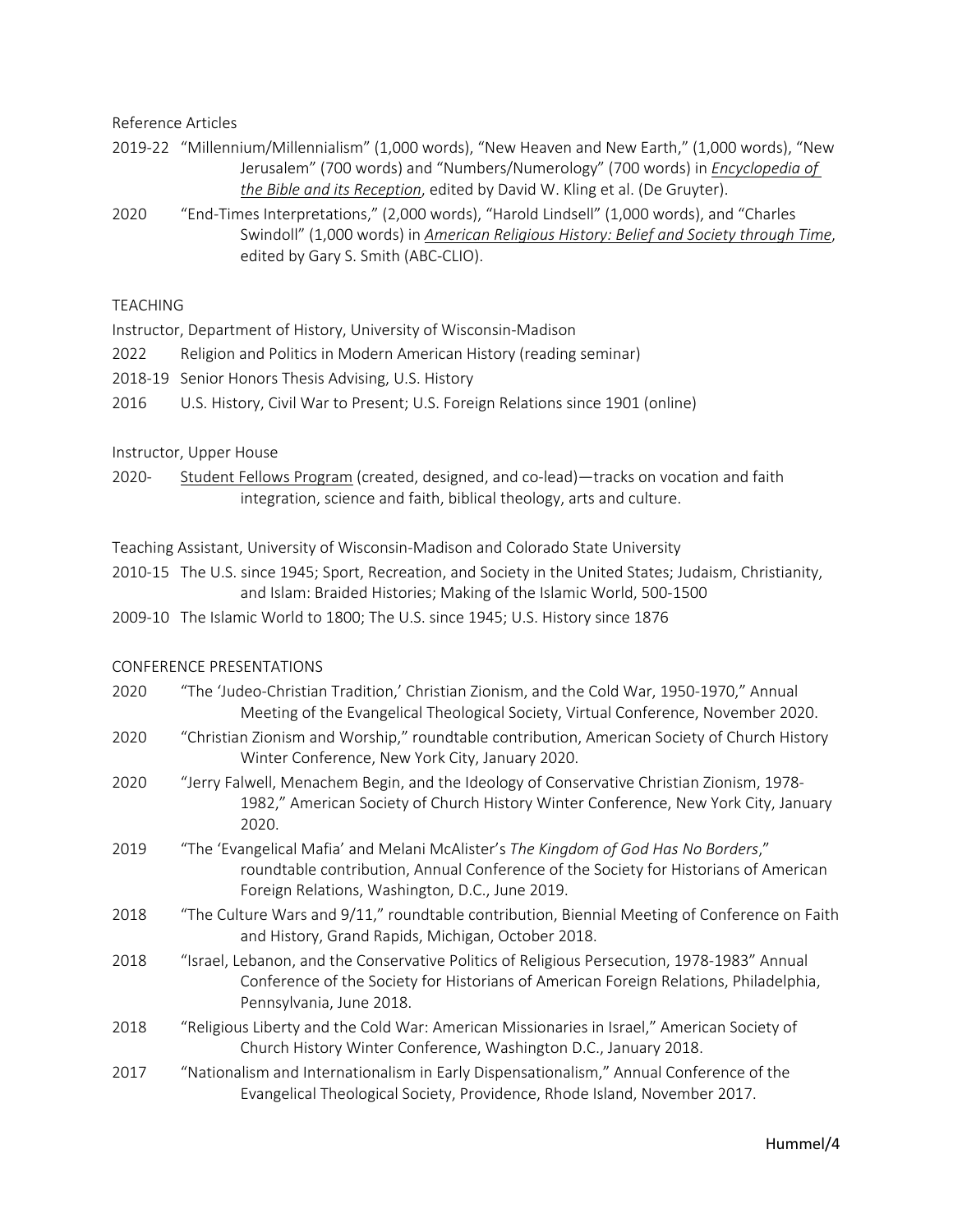Reference Articles

- 2019-22 "Millennium/Millennialism" (1,000 words), "New Heaven and New Earth," (1,000 words), "New Jerusalem" (700 words) and "Numbers/Numerology" (700 words) in *Encyclopedia of the Bible and its Reception*, edited by David W. Kling et al. (De Gruyter).
- 2020 "End-Times Interpretations," (2,000 words), "Harold Lindsell" (1,000 words), and "Charles Swindoll" (1,000 words) in *American Religious History: Belief and Society through Time*, edited by Gary S. Smith (ABC-CLIO).

## **TFACHING**

Instructor, Department of History, University of Wisconsin-Madison

- 2022 Religion and Politics in Modern American History (reading seminar)
- 2018-19 Senior Honors Thesis Advising, U.S. History
- 2016 U.S. History, Civil War to Present; U.S. Foreign Relations since 1901 (online)

Instructor, Upper House

2020- Student Fellows Program (created, designed, and co-lead)—tracks on vocation and faith integration, science and faith, biblical theology, arts and culture.

Teaching Assistant, University of Wisconsin-Madison and Colorado State University

- 2010-15 The U.S. since 1945; Sport, Recreation, and Society in the United States; Judaism, Christianity, and Islam: Braided Histories; Making of the Islamic World, 500-1500
- 2009-10 The Islamic World to 1800; The U.S. since 1945; U.S. History since 1876

## CONFERENCE PRESENTATIONS

| 2020 | "The 'Judeo-Christian Tradition,' Christian Zionism, and the Cold War, 1950-1970," Annual<br>Meeting of the Evangelical Theological Society, Virtual Conference, November 2020.                                                |
|------|--------------------------------------------------------------------------------------------------------------------------------------------------------------------------------------------------------------------------------|
| 2020 | "Christian Zionism and Worship," roundtable contribution, American Society of Church History<br>Winter Conference, New York City, January 2020.                                                                                |
| 2020 | "Jerry Falwell, Menachem Begin, and the Ideology of Conservative Christian Zionism, 1978-<br>1982," American Society of Church History Winter Conference, New York City, January<br>2020.                                      |
| 2019 | "The 'Evangelical Mafia' and Melani McAlister's The Kingdom of God Has No Borders,"<br>roundtable contribution, Annual Conference of the Society for Historians of American<br>Foreign Relations, Washington, D.C., June 2019. |
| 2018 | "The Culture Wars and 9/11," roundtable contribution, Biennial Meeting of Conference on Faith<br>and History, Grand Rapids, Michigan, October 2018.                                                                            |
| 2018 | "Israel, Lebanon, and the Conservative Politics of Religious Persecution, 1978-1983" Annual<br>Conference of the Society for Historians of American Foreign Relations, Philadelphia,<br>Pennsylvania, June 2018.               |
| 2018 | "Religious Liberty and the Cold War: American Missionaries in Israel," American Society of<br>Church History Winter Conference, Washington D.C., January 2018.                                                                 |
| 2017 | "Nationalism and Internationalism in Early Dispensationalism," Annual Conference of the<br>Evangelical Theological Society, Providence, Rhode Island, November 2017.                                                           |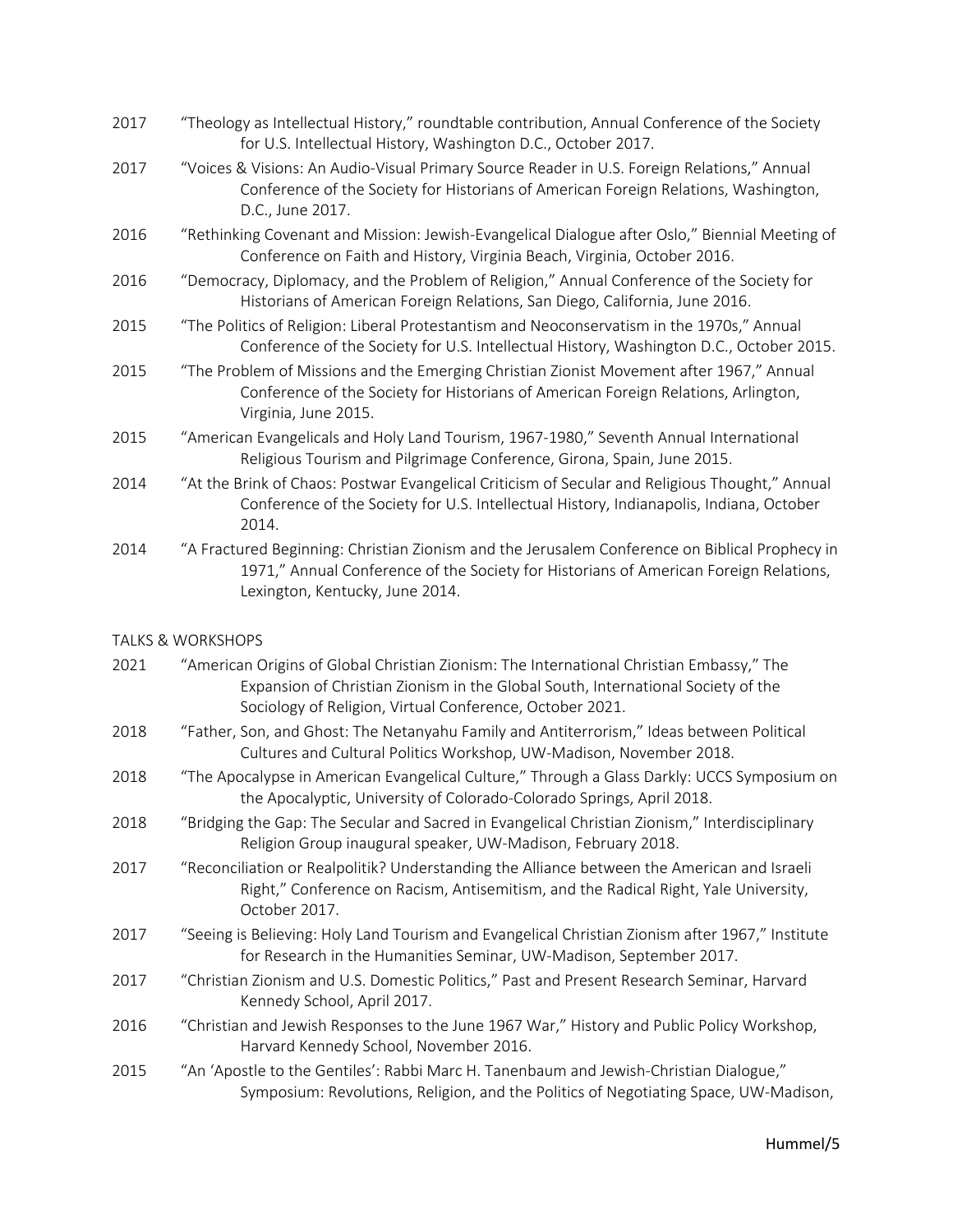| 2017 | "Theology as Intellectual History," roundtable contribution, Annual Conference of the Society<br>for U.S. Intellectual History, Washington D.C., October 2017.                                                                           |
|------|------------------------------------------------------------------------------------------------------------------------------------------------------------------------------------------------------------------------------------------|
| 2017 | "Voices & Visions: An Audio-Visual Primary Source Reader in U.S. Foreign Relations," Annual<br>Conference of the Society for Historians of American Foreign Relations, Washington,<br>D.C., June 2017.                                   |
| 2016 | "Rethinking Covenant and Mission: Jewish-Evangelical Dialogue after Oslo," Biennial Meeting of<br>Conference on Faith and History, Virginia Beach, Virginia, October 2016.                                                               |
| 2016 | "Democracy, Diplomacy, and the Problem of Religion," Annual Conference of the Society for<br>Historians of American Foreign Relations, San Diego, California, June 2016.                                                                 |
| 2015 | "The Politics of Religion: Liberal Protestantism and Neoconservatism in the 1970s," Annual<br>Conference of the Society for U.S. Intellectual History, Washington D.C., October 2015.                                                    |
| 2015 | "The Problem of Missions and the Emerging Christian Zionist Movement after 1967," Annual<br>Conference of the Society for Historians of American Foreign Relations, Arlington,<br>Virginia, June 2015.                                   |
| 2015 | "American Evangelicals and Holy Land Tourism, 1967-1980," Seventh Annual International<br>Religious Tourism and Pilgrimage Conference, Girona, Spain, June 2015.                                                                         |
| 2014 | "At the Brink of Chaos: Postwar Evangelical Criticism of Secular and Religious Thought," Annual<br>Conference of the Society for U.S. Intellectual History, Indianapolis, Indiana, October<br>2014.                                      |
| 2014 | "A Fractured Beginning: Christian Zionism and the Jerusalem Conference on Biblical Prophecy in<br>1971," Annual Conference of the Society for Historians of American Foreign Relations,<br>Lexington, Kentucky, June 2014.               |
|      | <b>TALKS &amp; WORKSHOPS</b>                                                                                                                                                                                                             |
| 2021 | "American Origins of Global Christian Zionism: The International Christian Embassy," The<br>Expansion of Christian Zionism in the Global South, International Society of the<br>Sociology of Religion, Virtual Conference, October 2021. |
| 2018 | "Father, Son, and Ghost: The Netanyahu Family and Antiterrorism," Ideas between Political<br>Cultures and Cultural Politics Workshop, UW-Madison, November 2018.                                                                         |
| 2018 | "The Apocalypse in American Evangelical Culture," Through a Glass Darkly: UCCS Symposium on<br>the Apocalyptic, University of Colorado-Colorado Springs, April 2018.                                                                     |
| 2018 | "Bridging the Gap: The Secular and Sacred in Evangelical Christian Zionism," Interdisciplinary<br>Religion Group inaugural speaker, UW-Madison, February 2018.                                                                           |
| 2017 | "Reconciliation or Realpolitik? Understanding the Alliance between the American and Israeli<br>Right," Conference on Racism, Antisemitism, and the Radical Right, Yale University,<br>October 2017.                                      |
| 2017 | "Seeing is Believing: Holy Land Tourism and Evangelical Christian Zionism after 1967," Institute<br>for Research in the Humanities Seminar, UW-Madison, September 2017.                                                                  |
| 2017 | "Christian Zionism and U.S. Domestic Politics," Past and Present Research Seminar, Harvard<br>Kennedy School, April 2017.                                                                                                                |
| 2016 | "Christian and Jewish Responses to the June 1967 War," History and Public Policy Workshop,                                                                                                                                               |

Harvard Kennedy School, November 2016.

2015 "An 'Apostle to the Gentiles': Rabbi Marc H. Tanenbaum and Jewish-Christian Dialogue," Symposium: Revolutions, Religion, and the Politics of Negotiating Space, UW-Madison,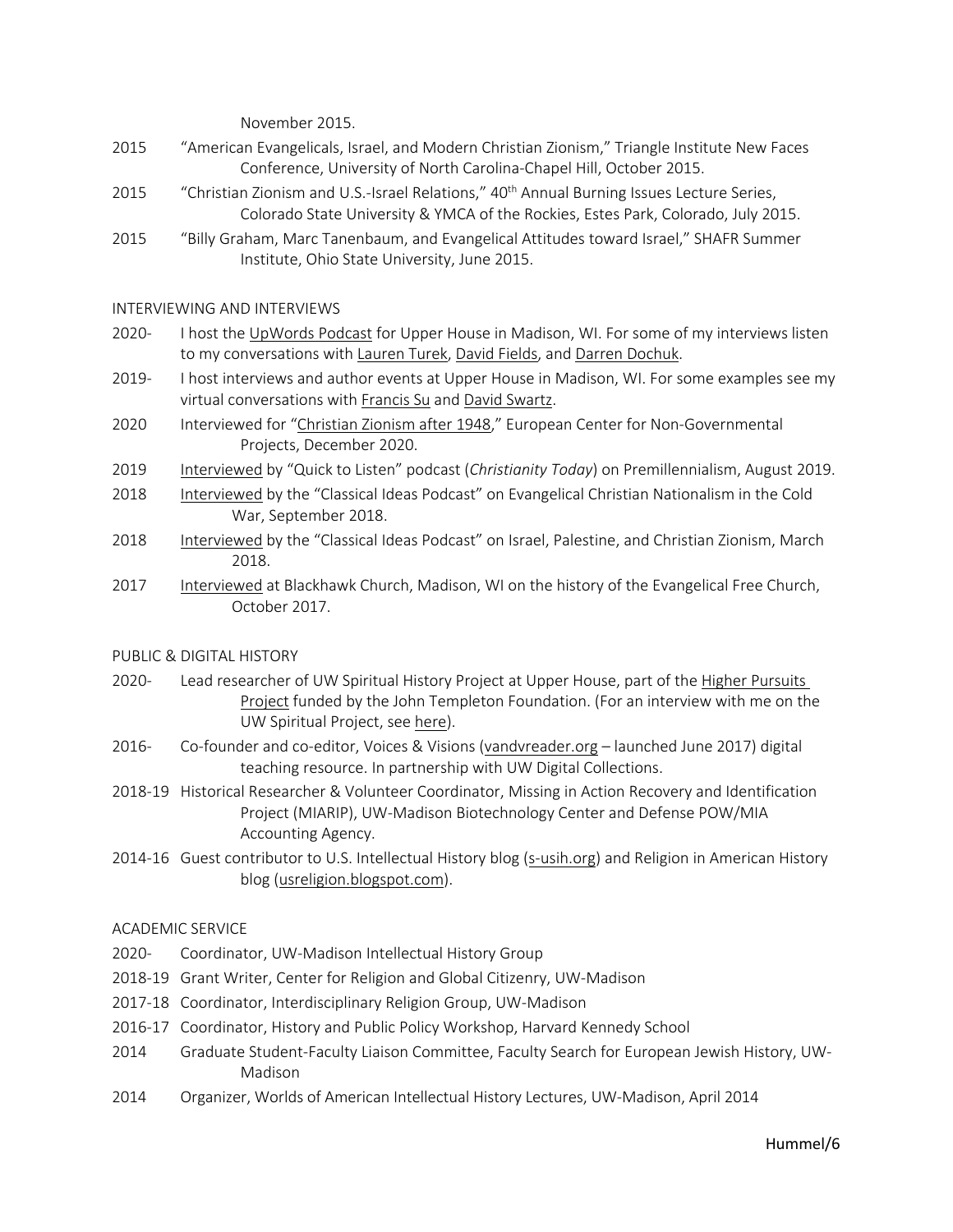November 2015.

- 2015 "American Evangelicals, Israel, and Modern Christian Zionism," Triangle Institute New Faces Conference, University of North Carolina-Chapel Hill, October 2015.
- 2015 "Christian Zionism and U.S.-Israel Relations." 40<sup>th</sup> Annual Burning Issues Lecture Series. Colorado State University & YMCA of the Rockies, Estes Park, Colorado, July 2015.
- 2015 "Billy Graham, Marc Tanenbaum, and Evangelical Attitudes toward Israel," SHAFR Summer Institute, Ohio State University, June 2015.

#### INTERVIEWING AND INTERVIEWS

- 2020- I host the UpWords Podcast for Upper House in Madison, WI. For some of my interviews listen to my conversations with Lauren Turek, David Fields, and Darren Dochuk.
- 2019- I host interviews and author events at Upper House in Madison, WI. For some examples see my virtual conversations with Francis Su and David Swartz.
- 2020 Interviewed for "Christian Zionism after 1948," European Center for Non-Governmental Projects, December 2020.
- 2019 Interviewed by "Quick to Listen" podcast (*Christianity Today*) on Premillennialism, August 2019.
- 2018 Interviewed by the "Classical Ideas Podcast" on Evangelical Christian Nationalism in the Cold War, September 2018.
- 2018 Interviewed by the "Classical Ideas Podcast" on Israel, Palestine, and Christian Zionism, March 2018.
- 2017 Interviewed at Blackhawk Church, Madison, WI on the history of the Evangelical Free Church, October 2017.

## PUBLIC & DIGITAL HISTORY

- 2020- Lead researcher of UW Spiritual History Project at Upper House, part of the Higher Pursuits Project funded by the John Templeton Foundation. (For an interview with me on the UW Spiritual Project, see here).
- 2016- Co-founder and co-editor, Voices & Visions (vandvreader.org launched June 2017) digital teaching resource. In partnership with UW Digital Collections.
- 2018-19 Historical Researcher & Volunteer Coordinator, Missing in Action Recovery and Identification Project (MIARIP), UW-Madison Biotechnology Center and Defense POW/MIA Accounting Agency.
- 2014-16 Guest contributor to U.S. Intellectual History blog (s-usih.org) and Religion in American History blog (usreligion.blogspot.com).

## ACADEMIC SERVICE

- 2020- Coordinator, UW-Madison Intellectual History Group
- 2018-19 Grant Writer, Center for Religion and Global Citizenry, UW-Madison
- 2017-18 Coordinator, Interdisciplinary Religion Group, UW-Madison
- 2016-17 Coordinator, History and Public Policy Workshop, Harvard Kennedy School
- 2014 Graduate Student-Faculty Liaison Committee, Faculty Search for European Jewish History, UW-Madison
- 2014 Organizer, Worlds of American Intellectual History Lectures, UW-Madison, April 2014